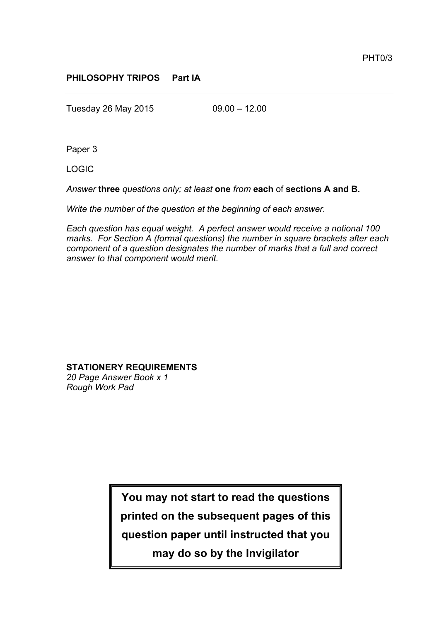## **PHILOSOPHY TRIPOS Part IA**

Tuesday 26 May 2015 09.00 – 12.00

Paper 3

LOGIC

*Answer* **three** *questions only; at least* **one** *from* **each** of **sections A and B.**

*Write the number of the question at the beginning of each answer.*

*Each question has equal weight. A perfect answer would receive a notional 100 marks. For Section A (formal questions) the number in square brackets after each component of a question designates the number of marks that a full and correct answer to that component would merit.*

**STATIONERY REQUIREMENTS** *20 Page Answer Book x 1 Rough Work Pad*

> **You may not start to read the questions printed on the subsequent pages of this question paper until instructed that you may do so by the Invigilator**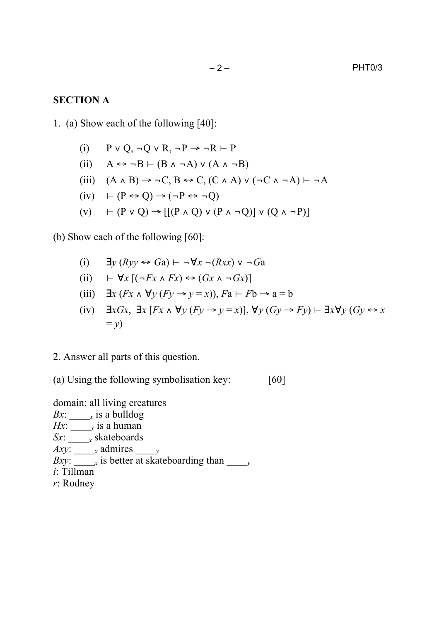## **SECTION A**

1. (a) Show each of the following [40]:

(i)  $P \vee Q, \neg Q \vee R, \neg P \rightarrow \neg R \vdash P$ (ii)  $A \leftrightarrow \neg B \vdash (B \land \neg A) \lor (A \land \neg B)$ (iii)  $(A \wedge B) \rightarrow \neg C, B \leftrightarrow C, (C \wedge A) \vee (\neg C \wedge \neg A) \vdash \neg A$  $(iv)$   $\vdash (P \leftrightarrow Q) \rightarrow (\neg P \leftrightarrow \neg Q)$ (v)  $\vdash$  (P v O) → [[(P  $\land$  O) v (P  $\land$  ¬O)] v (O  $\land$  ¬P)]

(b) Show each of the following [60]:

- (i) ∃*y* (*Ryy* ↔ *G*a) ⊢ ¬∀*x* ¬(*Rxx*) ∨ ¬*G*a
- (ii) ⊢ ∀*x* [(¬*Fx* ∧ *Fx*) ↔ (*Gx* ∧ ¬*Gx*)]
- (iii)  $\exists x (Fx \land \forall y (Fy \rightarrow y = x))$ ,  $Fa \vdash Fb \rightarrow a = b$
- (iv) ∃*xGx*, ∃*x* [*Fx* ∧ ∀*y* (*Fy* → *y* = *x*)], ∀*y* (*Gy* → *Fy*) ⊢ ∃*x*∀*y* (*Gy* ↔ *x*  $=$   $y$ )
- 2. Answer all parts of this question.

(a) Using the following symbolisation key: [60]

domain: all living creatures

- *Bx*: \_\_\_\_*<sup>x</sup>* is a bulldog
- *Hx*:  $\frac{1}{x}$  *x* is a human
- *Sx*: \_\_\_\_*<sup>x</sup>* skateboards
- *Axy*: \_\_\_\_*<sup>x</sup>* admires \_\_\_\_*<sup>y</sup>*
- *Bxy*: \_\_\_\_*<sup>x</sup>* is better at skateboarding than \_\_\_\_*<sup>y</sup>*
- *i*: Tillman
- *r*: Rodney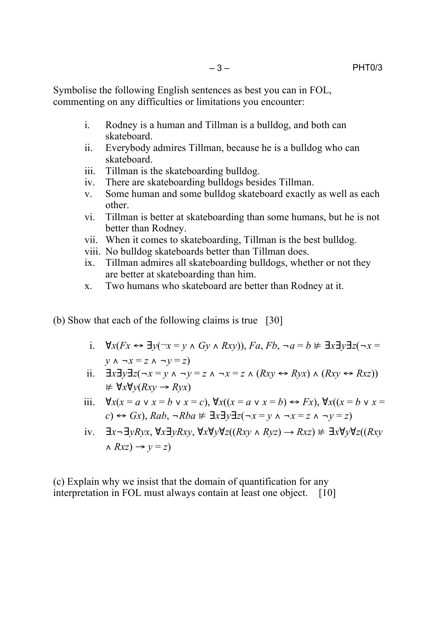Symbolise the following English sentences as best you can in FOL, commenting on any difficulties or limitations you encounter:

- i. Rodney is a human and Tillman is a bulldog, and both can skateboard.
- ii. Everybody admires Tillman, because he is a bulldog who can skateboard.
- iii. Tillman is the skateboarding bulldog.
- iv. There are skateboarding bulldogs besides Tillman.
- v. Some human and some bulldog skateboard exactly as well as each other.
- vi. Tillman is better at skateboarding than some humans, but he is not better than Rodney.
- vii. When it comes to skateboarding, Tillman is the best bulldog.
- viii. No bulldog skateboards better than Tillman does.
- ix. Tillman admires all skateboarding bulldogs, whether or not they are better at skateboarding than him.
- x. Two humans who skateboard are better than Rodney at it.
- (b) Show that each of the following claims is true [30]
	- i. ∀*x*(*Fx* ↔ ∃*y*(¬*x* = *y* ∧ *Gy* ∧ *Rxy*)), *Fa*, *Fb*, ¬*a* = *b* ⊭ ∃*x*∃*y*∃*z*(¬*x* = *y* ∧ ¬*x* = *z* ∧ ¬*y* = *z*)
	- ii. ∃*x*∃*y*∃*z*(¬*x* = *y* ∧ ¬*y* = *z* ∧ ¬*x* = *z* ∧ (*Rxy* ↔ *Ryx*) ∧ (*Rxy* ↔ *Rxz*)) ⊭ ∀*x*∀*y*(*Rxy* → *Ryx*)
	- iii. ∀*x*(*x* = *a* ∨ *x* = *b* ∨ *x* = *c*), ∀*x*((*x* = *a* ∨ *x* = *b*) ↔ *Fx*), ∀*x*((*x* = *b* ∨ *x* = *c*) ↔ *Gx*), *Rab*, ¬*Rba* ⊭ ∃*x*∃*y*∃*z*(¬*x* = *y* ∧ ¬*x* = *z* ∧ ¬*y* = *z*)
	- iv. ∃*x*¬∃*yRyx*, ∀*x*∃*yRxy*, ∀*x*∀*y*∀*z*((*Rxy* ∧ *Ryz*) → *Rxz*) ⊭ ∃*x*∀*y*∀*z*((*Rxy*  $\land$   $Rxz$ )  $\rightarrow$   $y = z$ )

(c) Explain why we insist that the domain of quantification for any interpretation in FOL must always contain at least one object. [10]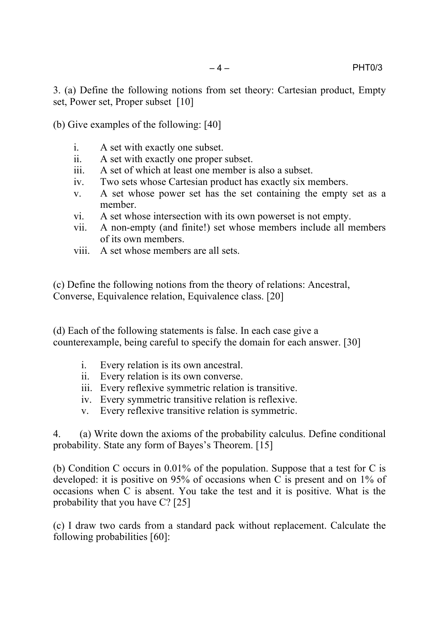(b) Give examples of the following: [40]

- i. A set with exactly one subset.
- ii. A set with exactly one proper subset.
- iii. A set of which at least one member is also a subset.
- iv. Two sets whose Cartesian product has exactly six members.
- v. A set whose power set has the set containing the empty set as a member.
- vi. A set whose intersection with its own powerset is not empty.
- vii. A non-empty (and finite!) set whose members include all members of its own members.
- viii. A set whose members are all sets.

(c) Define the following notions from the theory of relations: Ancestral, Converse, Equivalence relation, Equivalence class. [20]

(d) Each of the following statements is false. In each case give a counterexample, being careful to specify the domain for each answer. [30]

- i. Every relation is its own ancestral.
- ii. Every relation is its own converse.
- iii. Every reflexive symmetric relation is transitive.
- iv. Every symmetric transitive relation is reflexive.
- v. Every reflexive transitive relation is symmetric.

4. (a) Write down the axioms of the probability calculus. Define conditional probability. State any form of Bayes's Theorem. [15]

(b) Condition C occurs in 0.01% of the population. Suppose that a test for C is developed: it is positive on 95% of occasions when C is present and on 1% of occasions when C is absent. You take the test and it is positive. What is the probability that you have C? [25]

(c) I draw two cards from a standard pack without replacement. Calculate the following probabilities [60]: